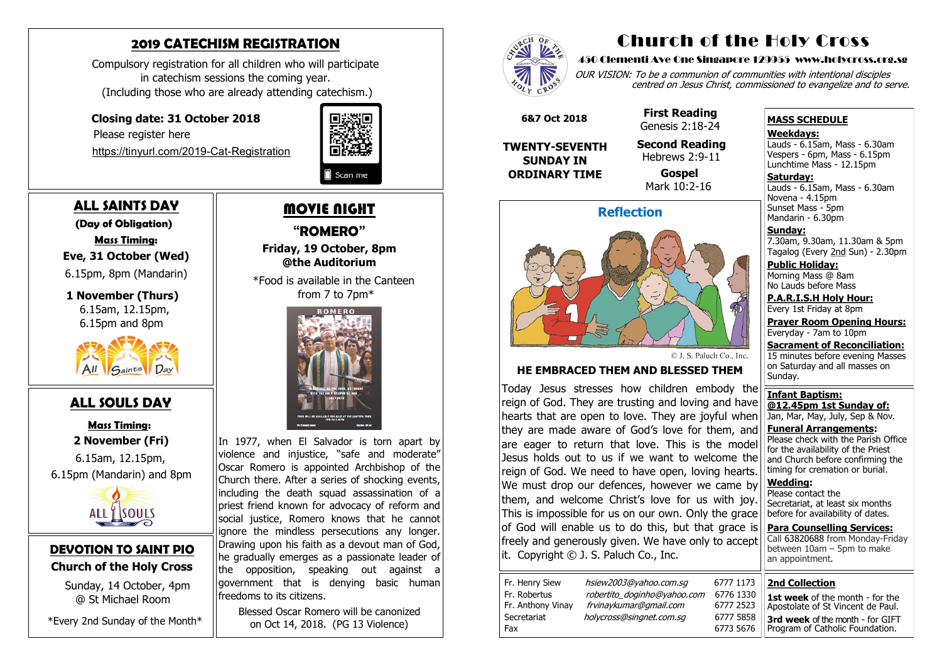#### **DEVOTION TO SAINT PIO Church of the Holy Cross**

 Sunday, 14 October, 4pm @ St Michael Room

\*Every 2nd Sunday of the Month\*

## **2019 CATECHISM REGISTRATION**

Compulsory registration for all children who will participate in catechism sessions the coming year. (Including those who are already attending catechism.)

### **Closing date: 31 October 2018**

Please register here

[https://tinyurl.com/2019](https://tinyurl.com/2019-Cat-Registration)-Cat-Registration



# **ALL SAINTS DAY**

 **(Day of Obligation) Mass Timing: Eve, 31 October (Wed)**  6.15pm, 8pm (Mandarin)

#### **1 November (Thurs)** 6.15am, 12.15pm,

6.15pm and 8pm



## **ALL SOULS DAY**

 **Mass Timing: 2 November (Fri)**

 6.15am, 12.15pm, 6.15pm (Mandarin) and 8pm



# MOVIE NIGHT

In 1977, when El Salvador is torn apart by violence and injustice, "safe and moderate" Oscar Romero is appointed Archbishop of the Church there. After a series of shocking events, including the death squad assassination of a priest friend known for advocacy of reform and social justice, Romero knows that he cannot ignore the mindless persecutions any longer. Drawing upon his faith as a devout man of God, he gradually emerges as a passionate leader of the opposition, speaking out against a government that is denying basic human freedoms to its citizens.

**"ROMERO" Friday, 19 October, 8pm @the Auditorium**

OUR VISION: To be a communion of communities with intentional disciples centred on Jesus Christ, commissioned to evangelize and to serve.

 \*Food is available in the Canteen from 7 to 7pm\*



**Saturday:** Lauds - 6.15am, Mass - 6.30am Novena - 4.15pm Sunset Mass - 5pm Mandarin - 6.30pm

Blessed Oscar Romero will be canonized on Oct 14, 2018. (PG 13 Violence)



# Church of the Holy Cross

#### 450 Clementi Ave One Singapore 129955 www.holycross.org.sg



6773 5676

#### **MASS SCHEDULE**

#### **Weekdays:**

Lauds - 6.15am, Mass - 6.30am Vespers - 6pm, Mass - 6.15pm Lunchtime Mass - 12.15pm

**Sunday:** 7.30am, 9.30am, 11.30am & 5pm Tagalog (Every 2nd Sun) - 2.30pm

**Public Holiday:**  Morning Mass @ 8am No Lauds before Mass

**P.A.R.I.S.H Holy Hour:** Every 1st Friday at 8pm

**Prayer Room Opening Hours:** Everyday - 7am to 10pm

**Sacrament of Reconciliation:** 15 minutes before evening Masses on Saturday and all masses on Sunday.

**Infant Baptism: @12.45pm 1st Sunday of:** Jan, Mar, May, July, Sep & Nov.

**Funeral Arrangements:**  Please check with the Parish Office for the availability of the Priest and Church before confirming the timing for cremation or burial.

**Wedding:**  Please contact the Secretariat, at least six months before for availability of dates.

**Para Counselling Services:** Call [63820688](tel:+6563820688) from Monday-Friday between 10am – 5pm to make an appointment.





© J. S. Paluch Co., Inc.

#### **HE EMBRACED THEM AND BLESSED THEM**

Today Jesus stresses how children embody the reign of God. They are trusting and loving and have hearts that are open to love. They are joyful when they are made aware of God's love for them, and are eager to return that love. This is the model Jesus holds out to us if we want to welcome the reign of God. We need to have open, loving hearts. We must drop our defences, however we came by them, and welcome Christ's love for us with joy. This is impossible for us on our own. Only the grace of God will enable us to do this, but that grace is freely and generously given. We have only to accept it.Copyright © J. S. Paluch Co., Inc.

| Fr. Henry Siew    | ł |
|-------------------|---|
| Fr. Robertus      | ı |
| Fr. Anthony Vinay | 1 |
| Secretariat       | h |
| Fax               |   |

hsiew 2003@yahoo.com.sg 6777 1173 robertito\_doginho@yahoo.com 6776 1330 frvinaykumar@gmail.com 6777 2523 olycross@singnet.com.sg 6777 5858

 **6&7 Oct 2018**

**TWENTY-SEVENTH SUNDAY IN ORDINARY TIME**

 **First Reading** Genesis 2:18-24

 **Second Reading** Hebrews 2:9-11

 **Gospel** Mark 10:2-16

**2nd Collection**

**1st week** of the month - for the Apostolate of St Vincent de Paul. **3rd week** of the month - for GIFT Program of Catholic Foundation.